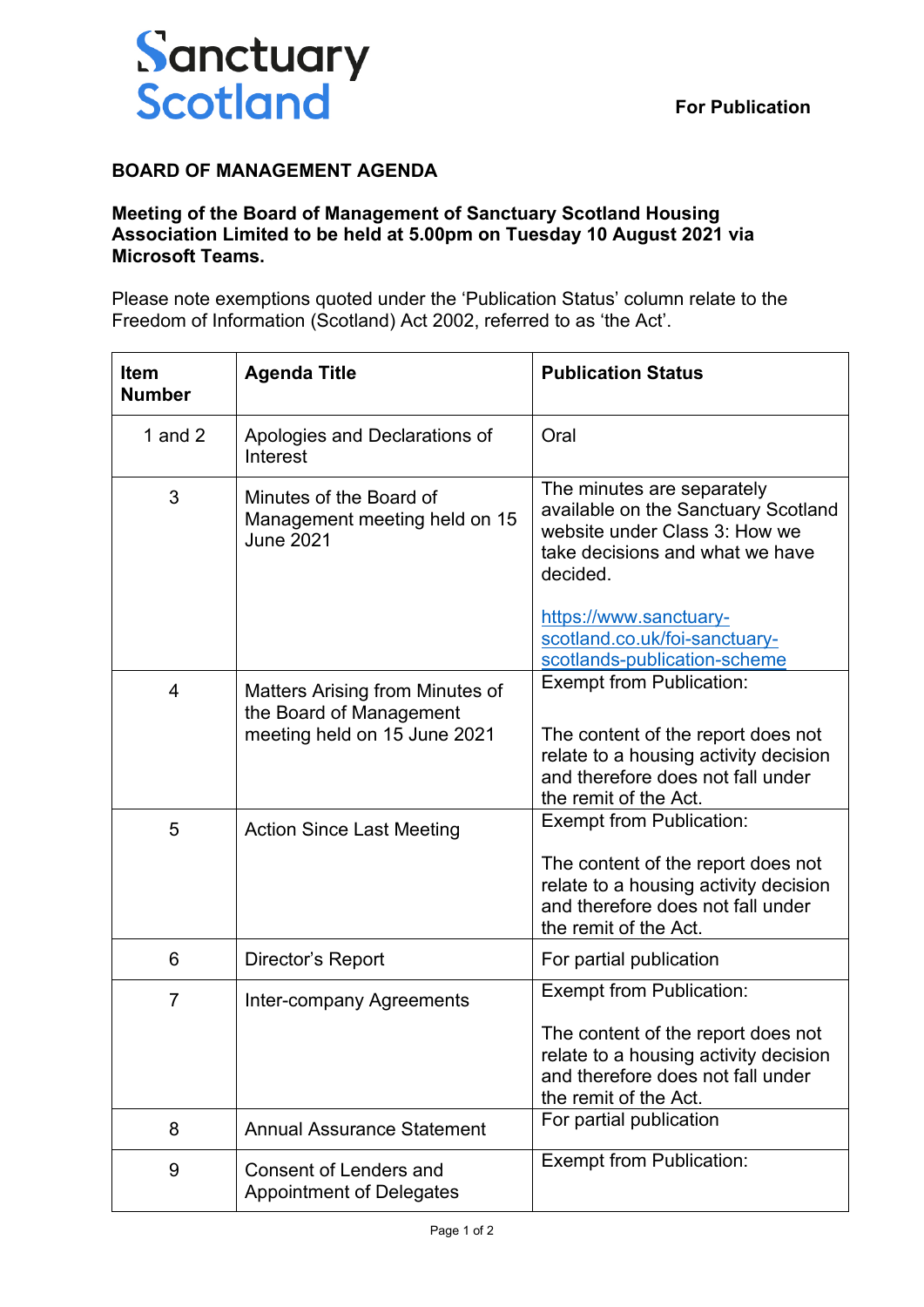

## **BOARD OF MANAGEMENT AGENDA**

## **Meeting of the Board of Management of Sanctuary Scotland Housing Association Limited to be held at 5.00pm on Tuesday 10 August 2021 via Microsoft Teams.**

Please note exemptions quoted under the 'Publication Status' column relate to the Freedom of Information (Scotland) Act 2002, referred to as 'the Act'.

| <b>Item</b><br><b>Number</b> | <b>Agenda Title</b>                                                          | <b>Publication Status</b>                                                                                                                         |
|------------------------------|------------------------------------------------------------------------------|---------------------------------------------------------------------------------------------------------------------------------------------------|
| 1 and $2$                    | Apologies and Declarations of<br>Interest                                    | Oral                                                                                                                                              |
| 3                            | Minutes of the Board of<br>Management meeting held on 15<br><b>June 2021</b> | The minutes are separately<br>available on the Sanctuary Scotland<br>website under Class 3: How we<br>take decisions and what we have<br>decided. |
|                              |                                                                              | https://www.sanctuary-<br>scotland.co.uk/foi-sanctuary-<br>scotlands-publication-scheme                                                           |
| 4                            | Matters Arising from Minutes of<br>the Board of Management                   | <b>Exempt from Publication:</b>                                                                                                                   |
|                              | meeting held on 15 June 2021                                                 | The content of the report does not<br>relate to a housing activity decision<br>and therefore does not fall under<br>the remit of the Act.         |
| 5                            | <b>Action Since Last Meeting</b>                                             | <b>Exempt from Publication:</b>                                                                                                                   |
|                              |                                                                              | The content of the report does not<br>relate to a housing activity decision<br>and therefore does not fall under<br>the remit of the Act.         |
| 6                            | Director's Report                                                            | For partial publication                                                                                                                           |
| $\overline{7}$               | Inter-company Agreements                                                     | Exempt from Publication:                                                                                                                          |
|                              |                                                                              | The content of the report does not<br>relate to a housing activity decision<br>and therefore does not fall under<br>the remit of the Act.         |
| 8                            | <b>Annual Assurance Statement</b>                                            | For partial publication                                                                                                                           |
| 9                            | <b>Consent of Lenders and</b><br><b>Appointment of Delegates</b>             | <b>Exempt from Publication:</b>                                                                                                                   |